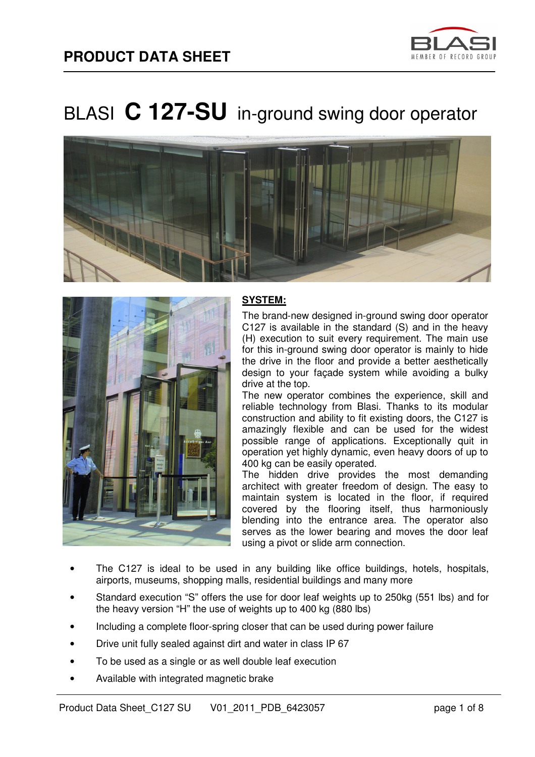





### **SYSTEM:**

The brand-new designed in-ground swing door operator C127 is available in the standard (S) and in the heavy (H) execution to suit every requirement. The main use for this in-ground swing door operator is mainly to hide the drive in the floor and provide a better aesthetically design to your façade system while avoiding a bulky drive at the top.

The new operator combines the experience, skill and reliable technology from Blasi. Thanks to its modular construction and ability to fit existing doors, the C127 is amazingly flexible and can be used for the widest possible range of applications. Exceptionally quit in operation yet highly dynamic, even heavy doors of up to 400 kg can be easily operated.

The hidden drive provides the most demanding architect with greater freedom of design. The easy to maintain system is located in the floor, if required covered by the flooring itself, thus harmoniously blending into the entrance area. The operator also serves as the lower bearing and moves the door leaf using a pivot or slide arm connection.

- The C127 is ideal to be used in any building like office buildings, hotels, hospitals, airports, museums, shopping malls, residential buildings and many more
- Standard execution "S" offers the use for door leaf weights up to 250kg (551 lbs) and for the heavy version "H" the use of weights up to 400 kg (880 lbs)
- Including a complete floor-spring closer that can be used during power failure
- Drive unit fully sealed against dirt and water in class IP 67
- To be used as a single or as well double leaf execution
- Available with integrated magnetic brake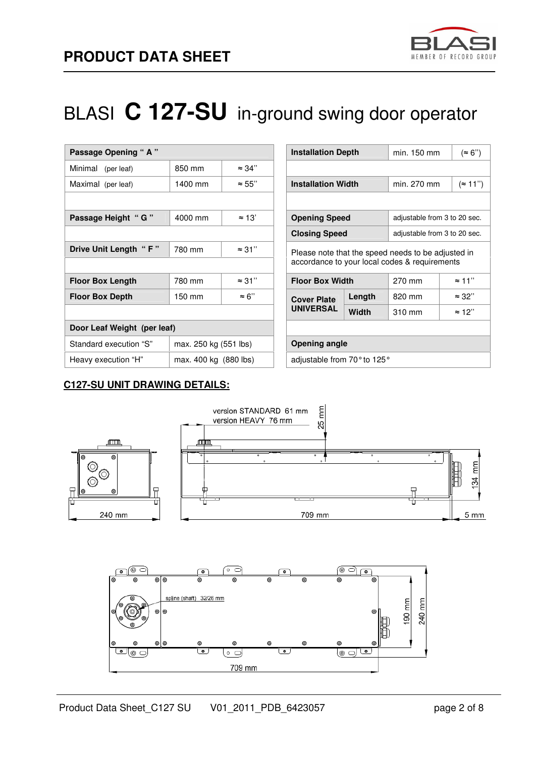

| Passage Opening "A"         |                       |               | <b>Installation Depth</b>                          |                        | min. 150 mm                                   |               |
|-----------------------------|-----------------------|---------------|----------------------------------------------------|------------------------|-----------------------------------------------|---------------|
| Minimal<br>(per leaf)       | 850 mm                | $\approx$ 34" |                                                    |                        |                                               |               |
| Maximal (per leaf)          | 1400 mm               | $\approx 55"$ | <b>Installation Width</b>                          |                        | min. 270 mm                                   |               |
|                             |                       |               |                                                    |                        |                                               |               |
| Passage Height " G "        | 4000 mm               | $\approx 13'$ | <b>Opening Speed</b>                               |                        | adjustable from 3 to 20 sec.                  |               |
|                             |                       |               | <b>Closing Speed</b>                               |                        | adjustable from 3 to 20 sec.                  |               |
| Drive Unit Length "F"       | 780 mm                | $\approx$ 31" | Please note that the speed needs to be adjusted in |                        |                                               |               |
|                             |                       |               |                                                    |                        | accordance to your local codes & requirements |               |
| <b>Floor Box Length</b>     | 780 mm                | $\approx$ 31" |                                                    | <b>Floor Box Width</b> |                                               | $\approx$ 11" |
| <b>Floor Box Depth</b>      | 150 mm                | $\approx 6"$  | <b>Cover Plate</b><br><b>UNIVERSAL</b>             | Length                 | 820 mm                                        | $\approx$ 32" |
|                             |                       |               |                                                    | Width                  | 310 mm                                        | $\approx$ 12" |
| Door Leaf Weight (per leaf) |                       |               |                                                    |                        |                                               |               |
| Standard execution "S"      | max. 250 kg (551 lbs) |               | <b>Opening angle</b>                               |                        |                                               |               |
| Heavy execution "H"         | max. 400 kg (880 lbs) |               | adjustable from 70° to 125°                        |                        |                                               |               |

| <b>Installation Depth</b>                                                                           |        | min. 150 mm                       | (~ 6")        |  |  |  |  |  |
|-----------------------------------------------------------------------------------------------------|--------|-----------------------------------|---------------|--|--|--|--|--|
|                                                                                                     |        |                                   |               |  |  |  |  |  |
| <b>Installation Width</b>                                                                           |        | $($ $\approx$ 11")<br>min. 270 mm |               |  |  |  |  |  |
|                                                                                                     |        |                                   |               |  |  |  |  |  |
| <b>Opening Speed</b>                                                                                |        | adjustable from 3 to 20 sec.      |               |  |  |  |  |  |
| <b>Closing Speed</b>                                                                                |        | adjustable from 3 to 20 sec.      |               |  |  |  |  |  |
| Please note that the speed needs to be adjusted in<br>accordance to your local codes & requirements |        |                                   |               |  |  |  |  |  |
| <b>Floor Box Width</b>                                                                              |        | 270 mm                            | $\approx$ 11" |  |  |  |  |  |
| <b>Cover Plate</b>                                                                                  | Length | 820 mm                            | $\approx$ 32" |  |  |  |  |  |
| <b>UNIVERSAL</b>                                                                                    | Width  | 310 mm                            | $\approx$ 12" |  |  |  |  |  |
|                                                                                                     |        |                                   |               |  |  |  |  |  |
| Opening angle                                                                                       |        |                                   |               |  |  |  |  |  |
| adjustable from 70° to 125°                                                                         |        |                                   |               |  |  |  |  |  |

### **C127-SU UNIT DRAWING DETAILS:**

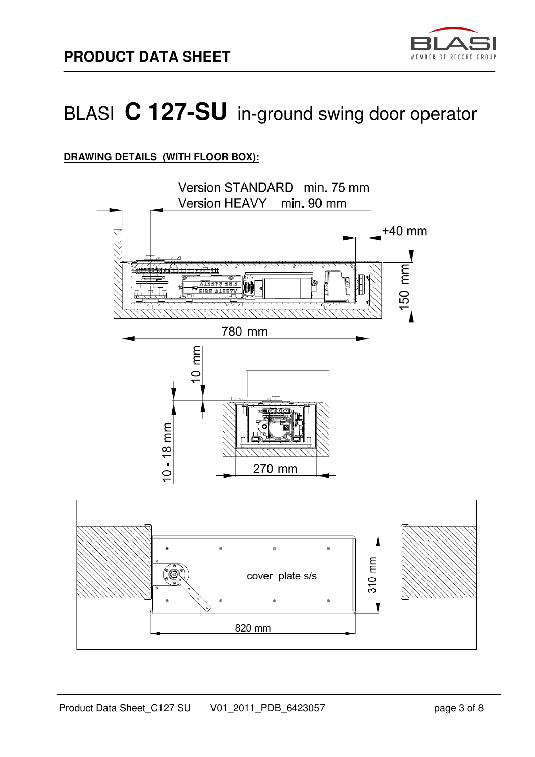

## **DRAWING DETAILS (WITH FLOOR BOX):**

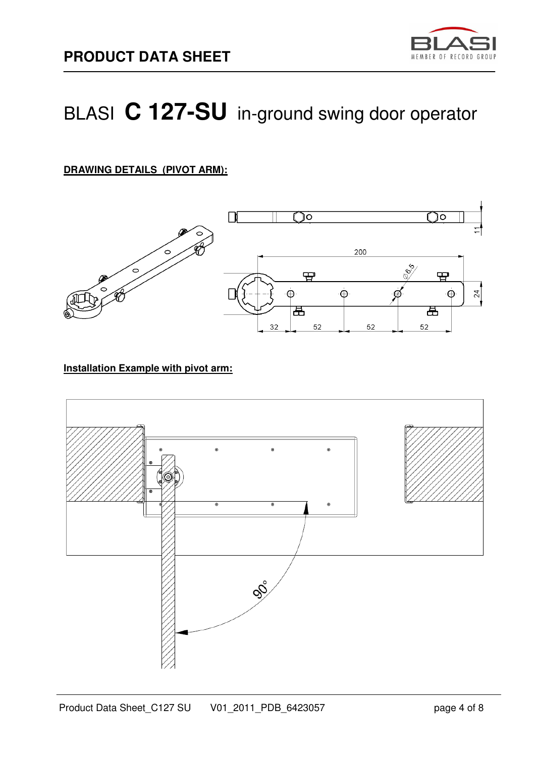

## **DRAWING DETAILS (PIVOT ARM):**



#### **Installation Example with pivot arm:**

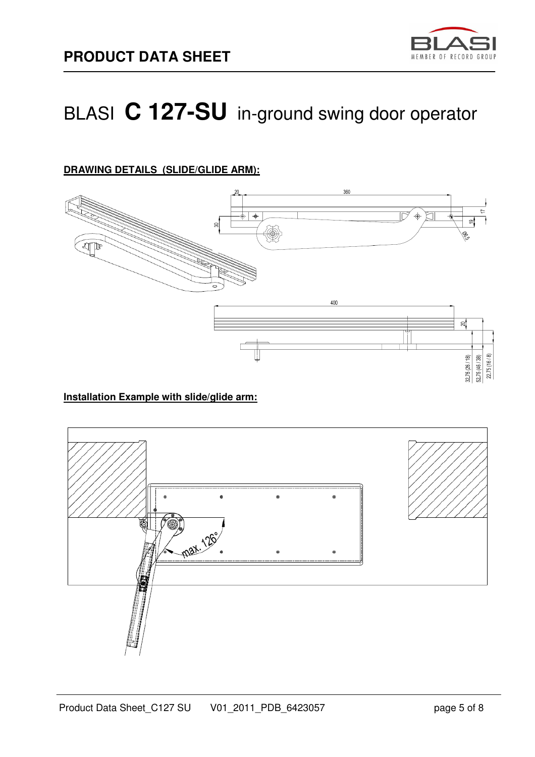

## **DRAWING DETAILS (SLIDE/GLIDE ARM):**



#### **Installation Example with slide/glide arm:**

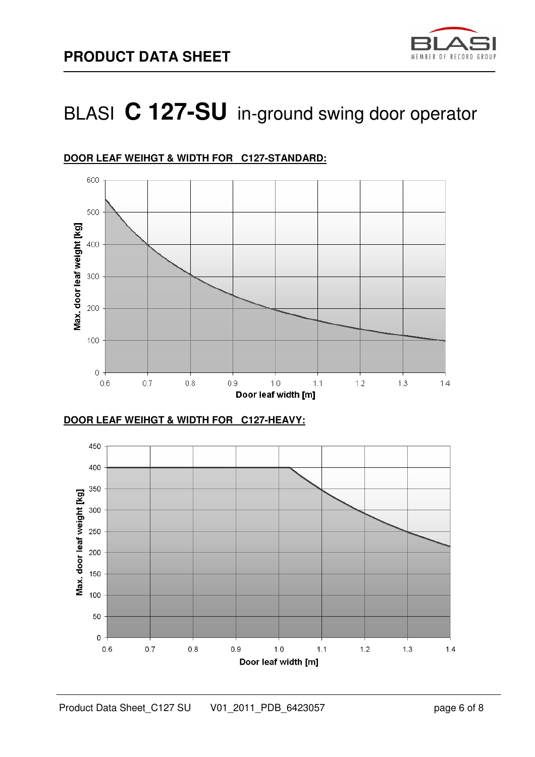



## **DOOR LEAF WEIHGT & WIDTH FOR C127-STANDARD:**

**DOOR LEAF WEIHGT & WIDTH FOR C127-HEAVY:**

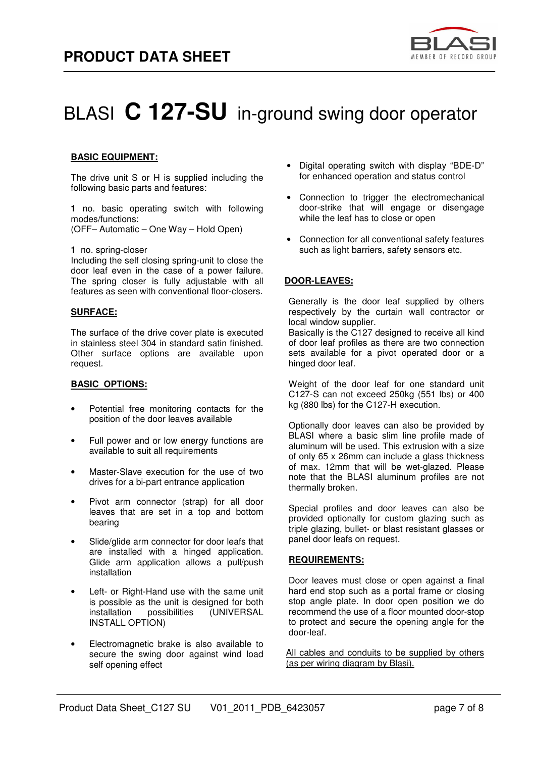

#### **BASIC EQUIPMENT:**

The drive unit S or H is supplied including the following basic parts and features:

**1** no. basic operating switch with following modes/functions: (OFF– Automatic – One Way – Hold Open)

#### **1** no. spring-closer

Including the self closing spring-unit to close the door leaf even in the case of a power failure. The spring closer is fully adjustable with all features as seen with conventional floor-closers.

#### **SURFACE:**

The surface of the drive cover plate is executed in stainless steel 304 in standard satin finished. Other surface options are available upon request.

#### **BASIC OPTIONS:**

- Potential free monitoring contacts for the position of the door leaves available
- Full power and or low energy functions are available to suit all requirements
- Master-Slave execution for the use of two drives for a bi-part entrance application
- Pivot arm connector (strap) for all door leaves that are set in a top and bottom bearing
- Slide/glide arm connector for door leafs that are installed with a hinged application. Glide arm application allows a pull/push installation
- Left- or Right-Hand use with the same unit is possible as the unit is designed for both installation possibilities (UNIVERSAL INSTALL OPTION)
- Electromagnetic brake is also available to secure the swing door against wind load self opening effect
- Digital operating switch with display "BDE-D" for enhanced operation and status control
- Connection to trigger the electromechanical door-strike that will engage or disengage while the leaf has to close or open
- Connection for all conventional safety features such as light barriers, safety sensors etc.

#### **DOOR-LEAVES:**

Generally is the door leaf supplied by others respectively by the curtain wall contractor or local window supplier.

Basically is the C127 designed to receive all kind of door leaf profiles as there are two connection sets available for a pivot operated door or a hinged door leaf.

Weight of the door leaf for one standard unit C127-S can not exceed 250kg (551 lbs) or 400 kg (880 lbs) for the C127-H execution.

Optionally door leaves can also be provided by BLASI where a basic slim line profile made of aluminum will be used. This extrusion with a size of only 65 x 26mm can include a glass thickness of max. 12mm that will be wet-glazed. Please note that the BLASI aluminum profiles are not thermally broken.

Special profiles and door leaves can also be provided optionally for custom glazing such as triple glazing, bullet- or blast resistant glasses or panel door leafs on request.

#### **REQUIREMENTS:**

Door leaves must close or open against a final hard end stop such as a portal frame or closing stop angle plate. In door open position we do recommend the use of a floor mounted door-stop to protect and secure the opening angle for the door-leaf.

All cables and conduits to be supplied by others (as per wiring diagram by Blasi).